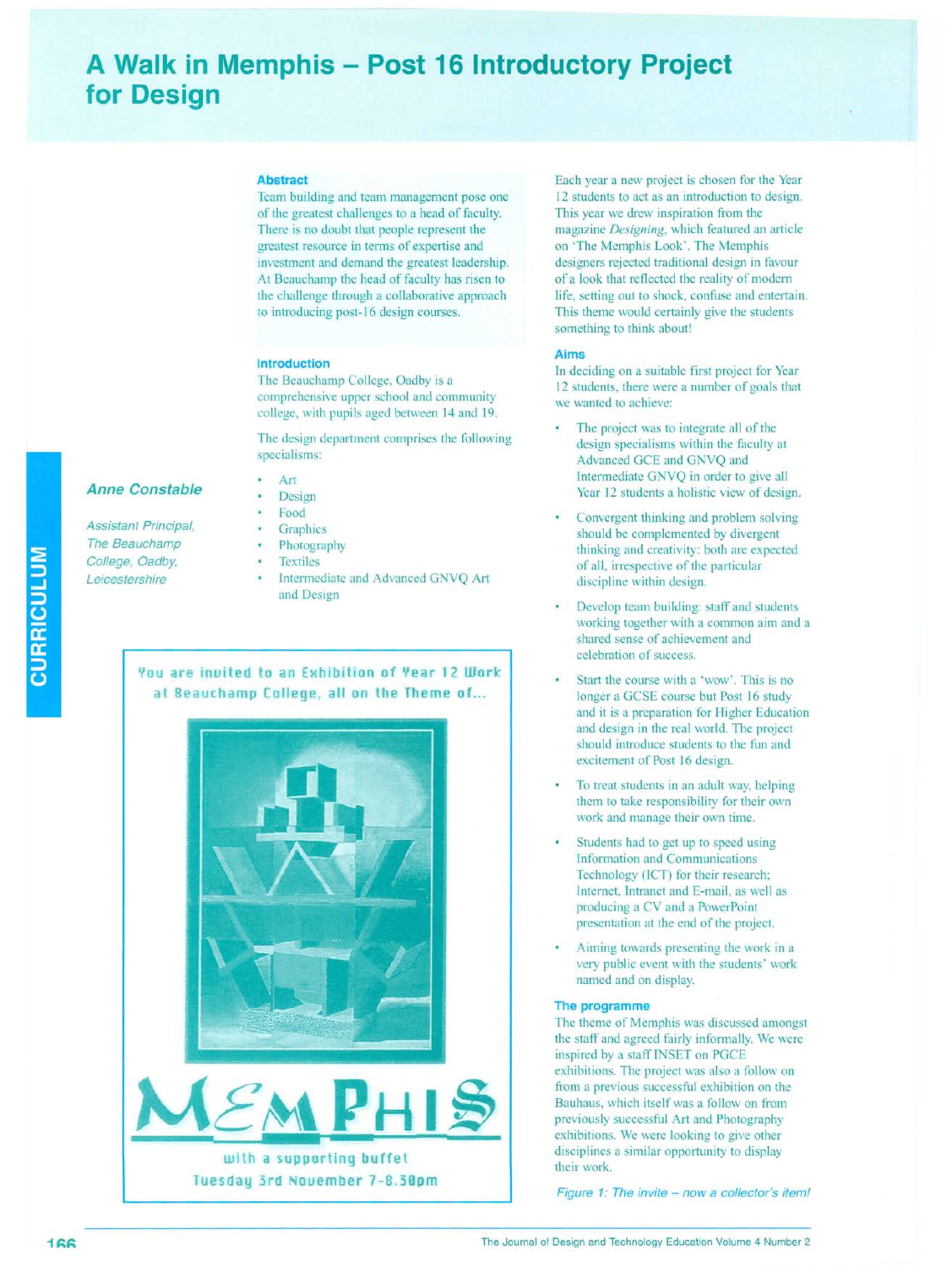# **A Walk in Memphis - Post 16 Introductory Project for Design**

#### **Abstract**

Team building and team management pose one of the greatest challenges to a head of faculty. There is no doubt that people represent the greatest resource in terms of expertise and investment and demand the greatest leadership. At Beauchamp the head of faculty has risen to the challenge through a collaborative approach to introducing post-16 design courses.

#### **Introduction**

The Beauchamp College, Oadby is a comprehensive upper school and community college, with pupils aged between 14 and 19.

The design department comprises the following specialisms:

## **Anne Constable**

*Assistant Principal, The Beauchamp College, Oadby, Leicestershire*

- Design Food
- **Graphics**

Art

- Photography
- Textiles
- Intermediate and Advanced GNVQ Art and Design

## **You are inuited to an Exhibition of Year 12 Work at Beauchamp College, all on the Theme of. ..**



Each year a new project is chosen for the Year 12 students to act as an introduction to design. This year we drew inspiration from the magazine *Designing,* which featured an article on 'The Memphis Look'. The Memphis designers rejected traditional design in favour of a look that reflected the reality of modern life, setting out to shock, confuse and entertain. This theme would certainly give the students something to think about!

#### **Aims**

In deciding on a suitable first project for Year 12 students, there were a number of goals that we wanted to achieve:

- The project was to integrate all of the design specialisms within the faculty at Advanced GeE and GNVQ and Intermediate GNVQ in order to give all Year 12 students a holistic view of design.
- Convergent thinking and problem solving should be complemented by divergent thinking and creativity: both are expected of all, irrespective of the particular discipline within design.
- Develop team building: staff and students working together with a common aim and a shared sense of achievement and celebration of success.
- Start the course with a 'wow'. This is no longer a GCSE course but Post 16 study and it is a preparation for Higher Education and design in the real world. The project should introduce students to the fun and excitement of Post 16 design.
- To treat students in an adult way, helping them to take responsibility for their own work and manage their own time.
- Students had to get up to speed using Information and Communications Technology (lCT) for their research; Internet, Intranet and E-mail, as well as producing a CV and a PowerPoint presentation at the end of the project.
- Aiming towards presenting the work in a very public event with the students' work named and on display.

#### **The programme**

The theme of Memphis was discussed amongst the staff and agreed fairly informally. We were inspired by a staff INSET on PGCE exhibitions. The project was also a follow on from a previous successful exhibition on the Bauhaus, which itself was a follow on from previously successful Art and Photography exhibitions. We were looking to give other disciplines a similar opportunity to display their work.

Figure 1: The invite - now a collector's item!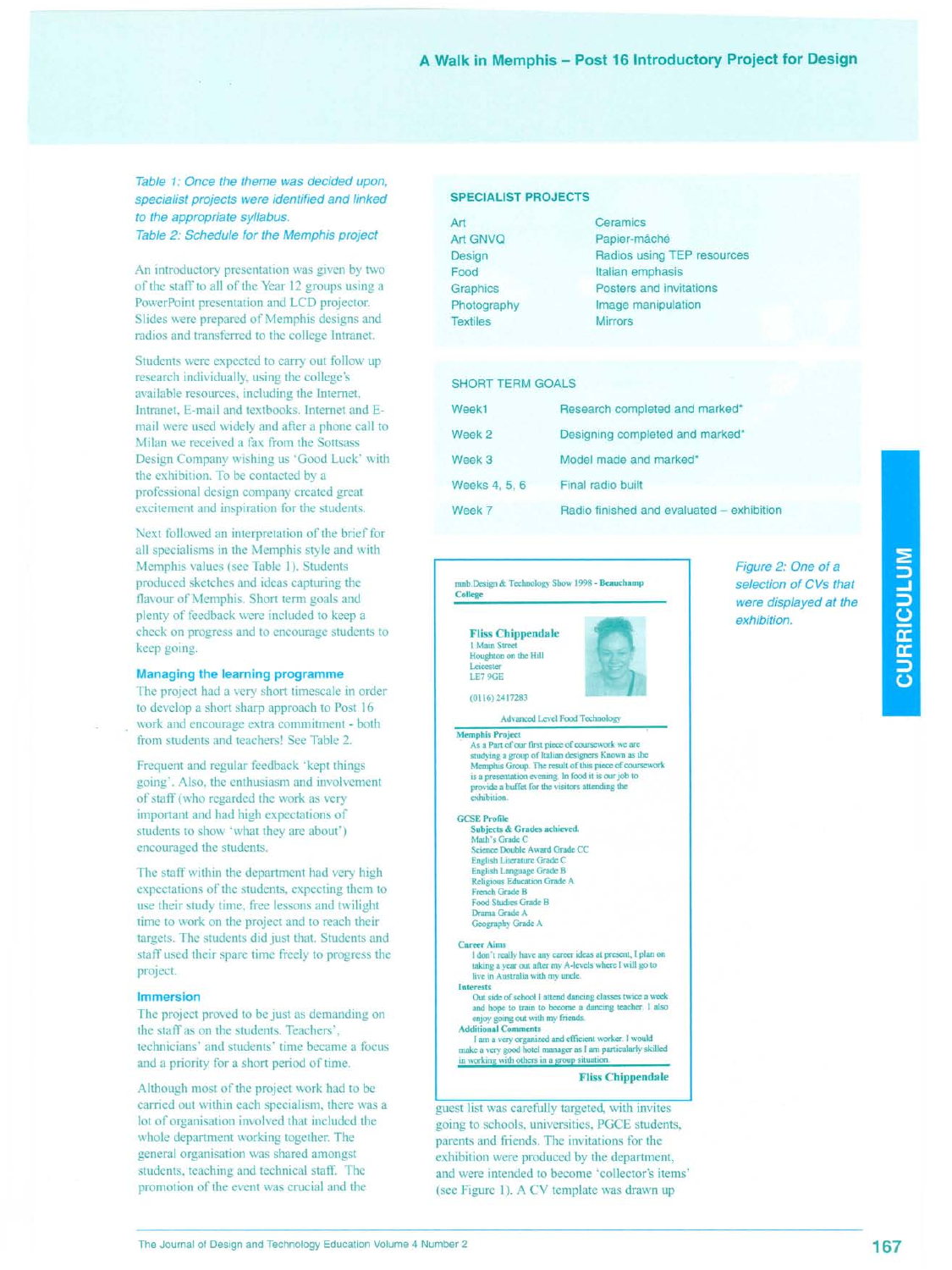## A Walk in Memphis - Post 16 Introductory Project for Design

## *Table* 1: *Once the theme was decided upon, specialist projects were identified and linked to the appropriate syllabus. Table* 2: *Schedule for the Memphis project*

An introductory presentation was given by two of the staff to all of the Year 12 groups using a PowerPoint presentation and LCD projector. Slides were prepared of Memphis designs and radios and transferred to the college Intranet.

Students were expected to carry out follow up research individually, using the college's available resources, including the Internet, Intranet, E-mail and textbooks. Internet and Email were used widely and after a phone call to Milan we received a fax from the Sottsass Design Company wishing us 'Good Luck' with the exhibition. To be contacted by a professional design company created great excitement and inspiration for the students.

Next followed an interpretation of the brief for all specialisms in the Memphis style and with Memphis values (see Table 1). Students produced sketches and ideas capturing the flavour of Memphis. Short term goals and plenty of feedback were included to keep a check on progress and to encourage students to keep going.

#### **Managing the learning programme**

The project had a very short timescale in order to develop a short sharp approach to Post 16 work and encourage extra commitment - both from students and teachers! See Table 2.

Frequent and regular feedback 'kept things going'. Also, the enthusiasm and involvement of staff (who regarded the work as very important and had high expectations of students to show 'what they are about') encouraged the students.

The staff within the department had very high expectations of the students, expecting them to use their study time, free lessons and twilight time to work on the project and to reach their targets. The students did just that. Students and staff used their spare time freely to progress the project.

#### **Immersion**

The project proved to be just as demanding on the staff as on the students. Teachers', technicians' and students' time became a focus and a priority for a short period of time.

Although most of the project work had to be carried out within each specialism, there was a lot of organisation involved that included the whole department working together. The general organisation was shared amongst students, teaching and technical staff. The promotion of the event was crucial and the

#### **SPECIALIST PROJECTS**

Art Art GNVQ Design Food **Graphics** Photography **Textiles Ceramics** Papier-mâché Radios using TEP resources Italian emphasis Posters and invitations Image manipulation **Mirrors** 

#### **SHORT TERM GOALS**

| Week1         | Research completed and marked*            |
|---------------|-------------------------------------------|
| Week 2        | Designing completed and marked*           |
| Week 3        | Model made and marked*                    |
| Weeks 4, 5, 6 | Final radio built                         |
| Week 7        | Radio finished and evaluated - exhibition |

nb.Design & Technology Show 1998 - Beauchamp College

Fliss **Chippendale** 1 Main Street Houghton on the Hill **Leicester** LE7 9GE

 $(0116)$  2417283



#### Advanced Level Food Tech

**Memphis Project . As a Part of our first piece of coursework we are** studying a group of Italian designers Known as the<br>Memphis Group. The result of this piece of coursework is a presentation evening. In food it is our job to<br>provide a buffet for the visitors attending the **exhibitic** 

#### GCSE Profile

**Subjects & Grades achieved.** Math's Grade C Science Double Award Grade CC **English Literature Grade C** English Language Grade B **Religious Education Grade A** French Grade B Food Studies Grade B Drama Grade A Geography Grade A

#### **Career Aims**

**1don't really have any career ideas at present, I plan on** laking a year out after my A-levels where 1will go to **live** in Australia with my uncle. **Interests**

**Out side of school I attend dancing classes twice a week and hope to train to become a dancing teacher. I also** enjoy going out with my friends. **Additional Comments**

Iam **<sup>a</sup> very organized and efficient worker. <sup>I</sup> would** make a very good hotel manager as I am particularly skilled **in working with others in a group situation.**

Fliss **Chippendale**

guest list was carefully targeted, with invites going to schools, universities, PGCE students, parents and friends. The invitations for the exhibition were produced by the department, and were intended to become 'collector's items' (see Figure I). A CY template was drawn up

*Figure* 2: *One of* a *selection of CVs that were displayed at the exhibition.*